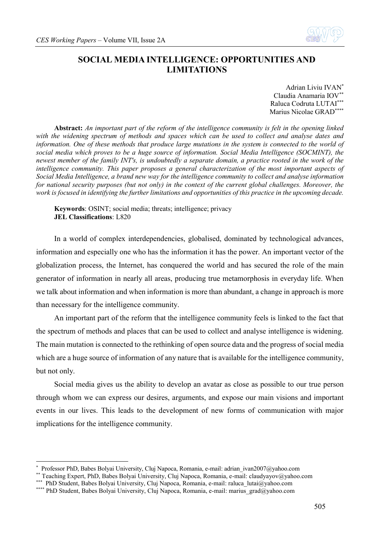

# **SOCIAL MEDIA INTELLIGENCE: OPPORTUNITIES AND LIMITATIONS**

Adrian Liviu IVAN\* Claudia Anamaria IOV\*\* Raluca Codruta LUTAI\*\*\* Marius Nicolae GRAD\*\*\*\*

**Abstract:** *An important part of the reform of the intelligence community is felt in the opening linked*  with the widening spectrum of methods and spaces which can be used to collect and analyse dates and *information. One of these methods that produce large mutations in the system is connected to the world of social media which proves to be a huge source of information. Social Media Intelligence (SOCMINT), the newest member of the family INT's, is undoubtedly a separate domain, a practice rooted in the work of the intelligence community. This paper proposes a general characterization of the most important aspects of Social Media Intelligence, a brand new way for the intelligence community to collect and analyse information for national security purposes (but not only) in the context of the current global challenges. Moreover, the work is focused in identifying the further limitations and opportunities of this practice in the upcoming decade.*

**Keywords**: OSINT; social media; threats; intelligence; privacy **JEL Classifications**: L820

In a world of complex interdependencies, globalised, dominated by technological advances, information and especially one who has the information it has the power. An important vector of the globalization process, the Internet, has conquered the world and has secured the role of the main generator of information in nearly all areas, producing true metamorphosis in everyday life. When we talk about information and when information is more than abundant, a change in approach is more than necessary for the intelligence community.

An important part of the reform that the intelligence community feels is linked to the fact that the spectrum of methods and places that can be used to collect and analyse intelligence is widening. The main mutation is connected to the rethinking of open source data and the progress of social media which are a huge source of information of any nature that is available for the intelligence community, but not only.

Social media gives us the ability to develop an avatar as close as possible to our true person through whom we can express our desires, arguments, and expose our main visions and important events in our lives. This leads to the development of new forms of communication with major implications for the intelligence community.

1

<sup>\*</sup> Professor PhD, Babes Bolyai University, Cluj Napoca, Romania, e-mail: adrian\_ivan2007@yahoo.com

<sup>\*\*</sup> Teaching Expert, PhD, Babes Bolyai University, Cluj Napoca, Romania, e-mail: claudyayov@yahoo.com

<sup>\*\*\*</sup> PhD Student, Babes Bolyai University, Cluj Napoca, Romania, e-mail: raluca\_lutai@yahoo.com

<sup>\*\*\*\*</sup> PhD Student, Babes Bolyai University, Cluj Napoca, Romania, e-mail: marius\_grad@yahoo.com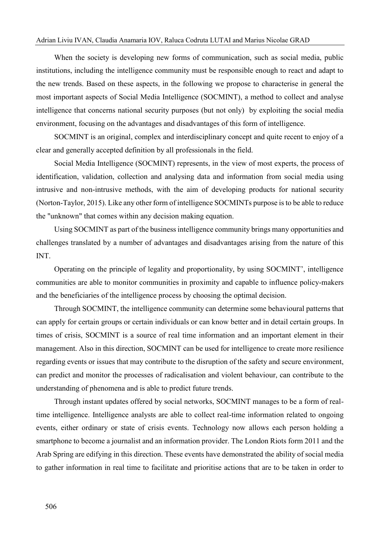#### Adrian Liviu IVAN, Claudia Anamaria IOV, Raluca Codruta LUTAI and Marius Nicolae GRAD

When the society is developing new forms of communication, such as social media, public institutions, including the intelligence community must be responsible enough to react and adapt to the new trends. Based on these aspects, in the following we propose to characterise in general the most important aspects of Social Media Intelligence (SOCMINT), a method to collect and analyse intelligence that concerns national security purposes (but not only) by exploiting the social media environment, focusing on the advantages and disadvantages of this form of intelligence.

SOCMINT is an original, complex and interdisciplinary concept and quite recent to enjoy of a clear and generally accepted definition by all professionals in the field.

Social Media Intelligence (SOCMINT) represents, in the view of most experts, the process of identification, validation, collection and analysing data and information from social media using intrusive and non-intrusive methods, with the aim of developing products for national security (Norton-Taylor, 2015). Like any other form of intelligence SOCMINTs purpose is to be able to reduce the "unknown" that comes within any decision making equation.

Using SOCMINT as part of the business intelligence community brings many opportunities and challenges translated by a number of advantages and disadvantages arising from the nature of this INT.

Operating on the principle of legality and proportionality, by using SOCMINT', intelligence communities are able to monitor communities in proximity and capable to influence policy-makers and the beneficiaries of the intelligence process by choosing the optimal decision.

Through SOCMINT, the intelligence community can determine some behavioural patterns that can apply for certain groups or certain individuals or can know better and in detail certain groups. In times of crisis, SOCMINT is a source of real time information and an important element in their management. Also in this direction, SOCMINT can be used for intelligence to create more resilience regarding events or issues that may contribute to the disruption of the safety and secure environment, can predict and monitor the processes of radicalisation and violent behaviour, can contribute to the understanding of phenomena and is able to predict future trends.

Through instant updates offered by social networks, SOCMINT manages to be a form of realtime intelligence. Intelligence analysts are able to collect real-time information related to ongoing events, either ordinary or state of crisis events. Technology now allows each person holding a smartphone to become a journalist and an information provider. The London Riots form 2011 and the Arab Spring are edifying in this direction. These events have demonstrated the ability of social media to gather information in real time to facilitate and prioritise actions that are to be taken in order to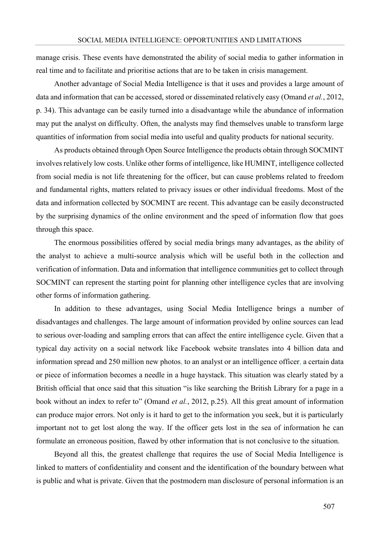manage crisis. These events have demonstrated the ability of social media to gather information in real time and to facilitate and prioritise actions that are to be taken in crisis management.

Another advantage of Social Media Intelligence is that it uses and provides a large amount of data and information that can be accessed, stored or disseminated relatively easy (Omand *et al.*, 2012, p. 34). This advantage can be easily turned into a disadvantage while the abundance of information may put the analyst on difficulty. Often, the analysts may find themselves unable to transform large quantities of information from social media into useful and quality products for national security.

As products obtained through Open Source Intelligence the products obtain through SOCMINT involves relatively low costs. Unlike other forms of intelligence, like HUMINT, intelligence collected from social media is not life threatening for the officer, but can cause problems related to freedom and fundamental rights, matters related to privacy issues or other individual freedoms. Most of the data and information collected by SOCMINT are recent. This advantage can be easily deconstructed by the surprising dynamics of the online environment and the speed of information flow that goes through this space.

The enormous possibilities offered by social media brings many advantages, as the ability of the analyst to achieve a multi-source analysis which will be useful both in the collection and verification of information. Data and information that intelligence communities get to collect through SOCMINT can represent the starting point for planning other intelligence cycles that are involving other forms of information gathering.

In addition to these advantages, using Social Media Intelligence brings a number of disadvantages and challenges. The large amount of information provided by online sources can lead to serious over-loading and sampling errors that can affect the entire intelligence cycle. Given that a typical day activity on a social network like Facebook website translates into 4 billion data and information spread and 250 million new photos, to an analyst or an intelligence officer, a certain data or piece of information becomes a needle in a huge haystack. This situation was clearly stated by a British official that once said that this situation "is like searching the British Library for a page in a book without an index to refer to" (Omand *et al.*, 2012, p.25). All this great amount of information can produce major errors. Not only is it hard to get to the information you seek, but it is particularly important not to get lost along the way. If the officer gets lost in the sea of information he can formulate an erroneous position, flawed by other information that is not conclusive to the situation.

Beyond all this, the greatest challenge that requires the use of Social Media Intelligence is linked to matters of confidentiality and consent and the identification of the boundary between what is public and what is private. Given that the postmodern man disclosure of personal information is an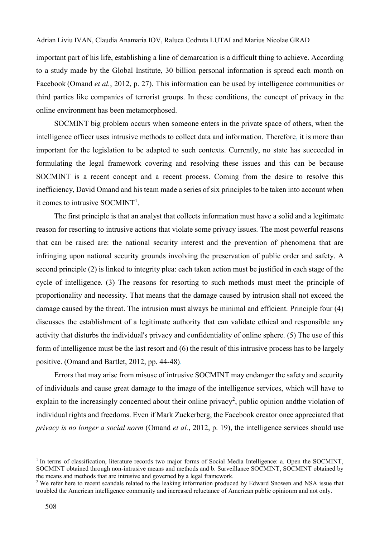important part of his life, establishing a line of demarcation is a difficult thing to achieve. According to a study made by the Global Institute, 30 billion personal information is spread each month on Facebook (Omand *et al.*, 2012, p. 27). This information can be used by intelligence communities or third parties like companies of terrorist groups. In these conditions, the concept of privacy in the online environment has been metamorphosed.

SOCMINT big problem occurs when someone enters in the private space of others, when the intelligence officer uses intrusive methods to collect data and information. Therefore, it is more than important for the legislation to be adapted to such contexts. Currently, no state has succeeded in formulating the legal framework covering and resolving these issues and this can be because SOCMINT is a recent concept and a recent process. Coming from the desire to resolve this inefficiency, David Omand and his team made a series of six principles to be taken into account when it comes to intrusive SOCMINT<sup>1</sup>.

The first principle is that an analyst that collects information must have a solid and a legitimate reason for resorting to intrusive actions that violate some privacy issues. The most powerful reasons that can be raised are: the national security interest and the prevention of phenomena that are infringing upon national security grounds involving the preservation of public order and safety. A second principle (2) is linked to integrity plea: each taken action must be justified in each stage of the cycle of intelligence. (3) The reasons for resorting to such methods must meet the principle of proportionality and necessity. That means that the damage caused by intrusion shall not exceed the damage caused by the threat. The intrusion must always be minimal and efficient. Principle four (4) discusses the establishment of a legitimate authority that can validate ethical and responsible any activity that disturbs the individual's privacy and confidentiality of online sphere. (5) The use of this form of intelligence must be the last resort and (6) the result of this intrusive process has to be largely positive. (Omand and Bartlet, 2012, pp. 44-48).

Errors that may arise from misuse of intrusive SOCMINT may endanger the safety and security of individuals and cause great damage to the image of the intelligence services, which will have to explain to the increasingly concerned about their online privacy<sup>2</sup>, public opinion andthe violation of individual rights and freedoms. Even if Mark Zuckerberg, the Facebook creator once appreciated that *privacy is no longer a social norm* (Omand *et al.*, 2012, p. 19), the intelligence services should use

<u>.</u>

<sup>&</sup>lt;sup>1</sup> In terms of classification, literature records two major forms of Social Media Intelligence: a. Open the SOCMINT, SOCMINT obtained through non-intrusive means and methods and b. Surveillance SOCMINT, SOCMINT obtained by the means and methods that are intrusive and governed by a legal framework.

<sup>&</sup>lt;sup>2</sup> We refer here to recent scandals related to the leaking information produced by Edward Snowen and NSA issue that troubled the American intelligence community and increased reluctance of American public opinionm and not only.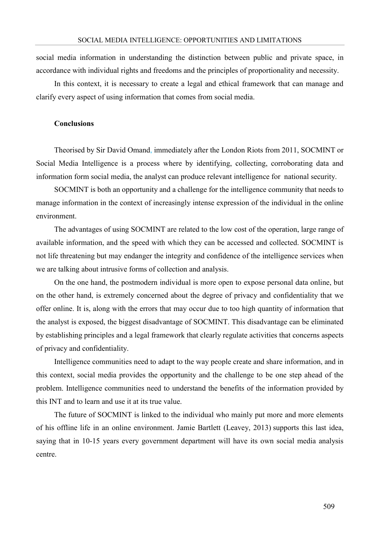social media information in understanding the distinction between public and private space, in accordance with individual rights and freedoms and the principles of proportionality and necessity.

In this context, it is necessary to create a legal and ethical framework that can manage and clarify every aspect of using information that comes from social media.

### **Conclusions**

Theorised by Sir David Omand, immediately after the London Riots from 2011, SOCMINT or Social Media Intelligence is a process where by identifying, collecting, corroborating data and information form social media, the analyst can produce relevant intelligence for national security.

SOCMINT is both an opportunity and a challenge for the intelligence community that needs to manage information in the context of increasingly intense expression of the individual in the online environment.

The advantages of using SOCMINT are related to the low cost of the operation, large range of available information, and the speed with which they can be accessed and collected. SOCMINT is not life threatening but may endanger the integrity and confidence of the intelligence services when we are talking about intrusive forms of collection and analysis.

On the one hand, the postmodern individual is more open to expose personal data online, but on the other hand, is extremely concerned about the degree of privacy and confidentiality that we offer online. It is, along with the errors that may occur due to too high quantity of information that the analyst is exposed, the biggest disadvantage of SOCMINT. This disadvantage can be eliminated by establishing principles and a legal framework that clearly regulate activities that concerns aspects of privacy and confidentiality.

Intelligence communities need to adapt to the way people create and share information, and in this context, social media provides the opportunity and the challenge to be one step ahead of the problem. Intelligence communities need to understand the benefits of the information provided by this INT and to learn and use it at its true value.

The future of SOCMINT is linked to the individual who mainly put more and more elements of his offline life in an online environment. Jamie Bartlett (Leavey, 2013) supports this last idea, saying that in 10-15 years every government department will have its own social media analysis centre.